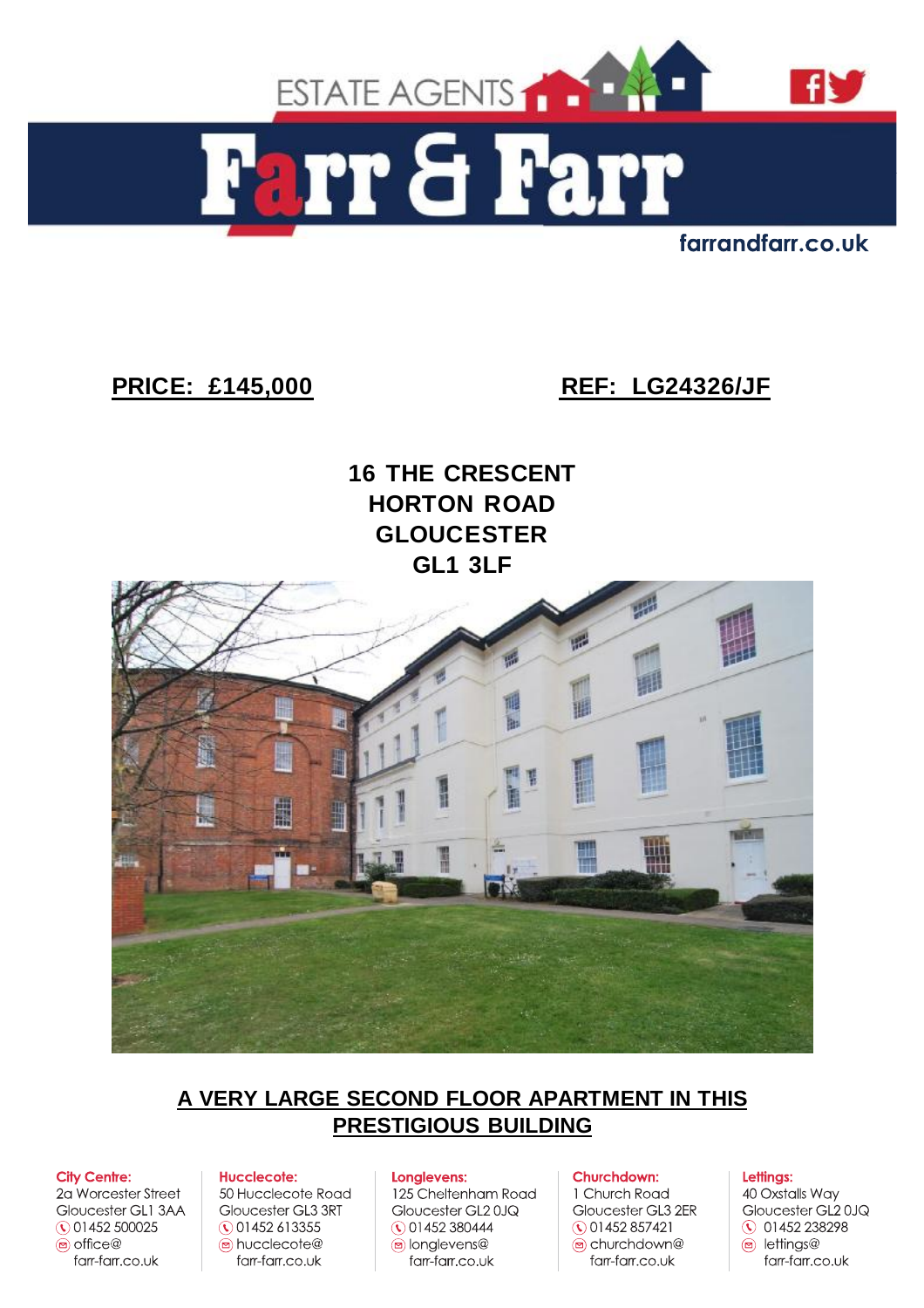

farrandfarr.co.uk

# **PRICE: £145,000 REF: LG24326/JF**

**16 THE CRESCENT HORTON ROAD GLOUCESTER GL1 3LF** 



# **A VERY LARGE SECOND FLOOR APARTMENT IN THIS PRESTIGIOUS BUILDING**

#### **City Centre:**

2a Worcester Street Gloucester GL1 3AA ◯ 01452 500025  $\circledcirc$  office  $\circledcirc$ farr-farr.co.uk

#### **Hucclecote:**

50 Hucclecote Road Gloucester GL3 3RT ◯ 01452 613355 a hucclecote@ farr-farr.co.uk

#### Longlevens:

125 Cheltenham Road Gloucester GL20JQ **CO1452380444** s longlevens@ farr-farr.co.uk

#### Churchdown:

1 Church Road Gloucester GL3 2ER ◯ 01452 857421 churchdown@ farr-farr.co.uk

#### Lettings:

40 Oxstalls Way Gloucester GL20JQ **0 01452 238298**  $\Theta$  lettings $\omega$ farr-farr.co.uk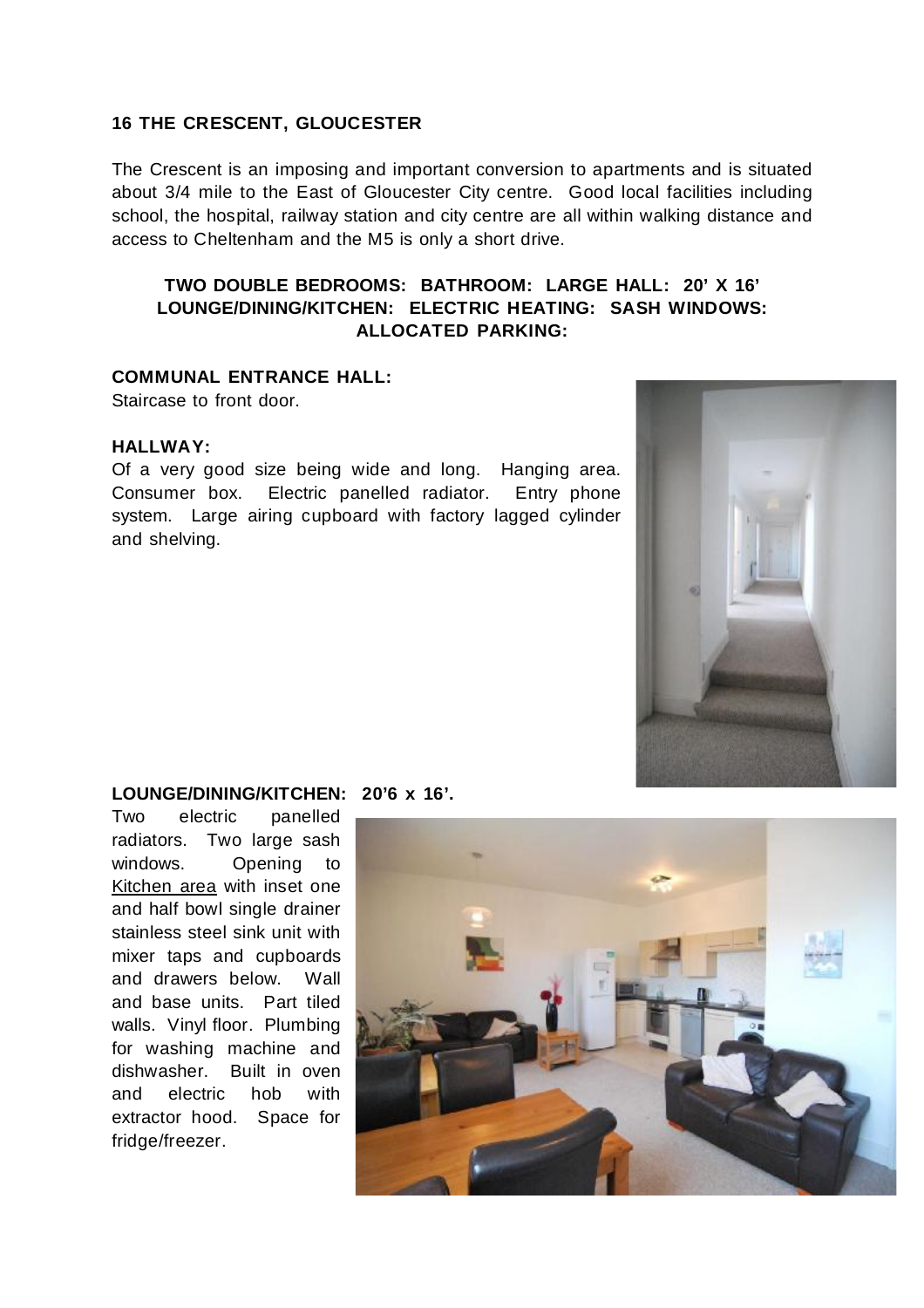## **16 THE CRESCENT, GLOUCESTER**

The Crescent is an imposing and important conversion to apartments and is situated about 3/4 mile to the East of Gloucester City centre. Good local facilities including school, the hospital, railway station and city centre are all within walking distance and access to Cheltenham and the M5 is only a short drive.

## **TWO DOUBLE BEDROOMS: BATHROOM: LARGE HALL: 20' X 16' LOUNGE/DINING/KITCHEN: ELECTRIC HEATING: SASH WINDOWS: ALLOCATED PARKING:**

## **COMMUNAL ENTRANCE HALL:**

Staircase to front door.

### **HALLWAY:**

Of a very good size being wide and long. Hanging area. Consumer box. Electric panelled radiator. Entry phone system. Large airing cupboard with factory lagged cylinder and shelving.



### **LOUNGE/DINING/KITCHEN: 20'6 x 16'.**

Two electric panelled radiators. Two large sash windows. Opening to Kitchen area with inset one and half bowl single drainer stainless steel sink unit with mixer taps and cupboards and drawers below. Wall and base units. Part tiled walls. Vinyl floor. Plumbing for washing machine and dishwasher. Built in oven and electric hob with extractor hood. Space for fridge/freezer.

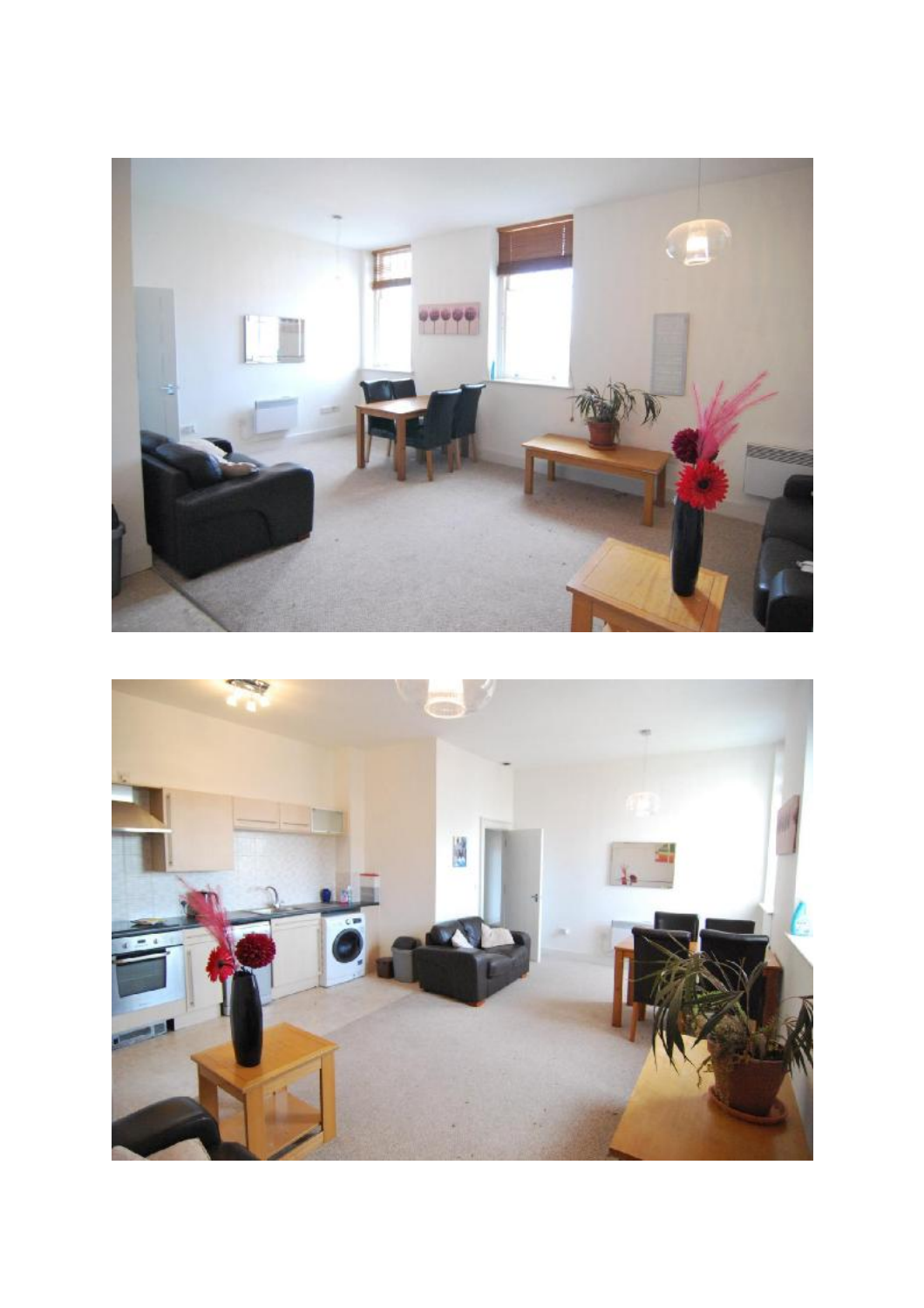

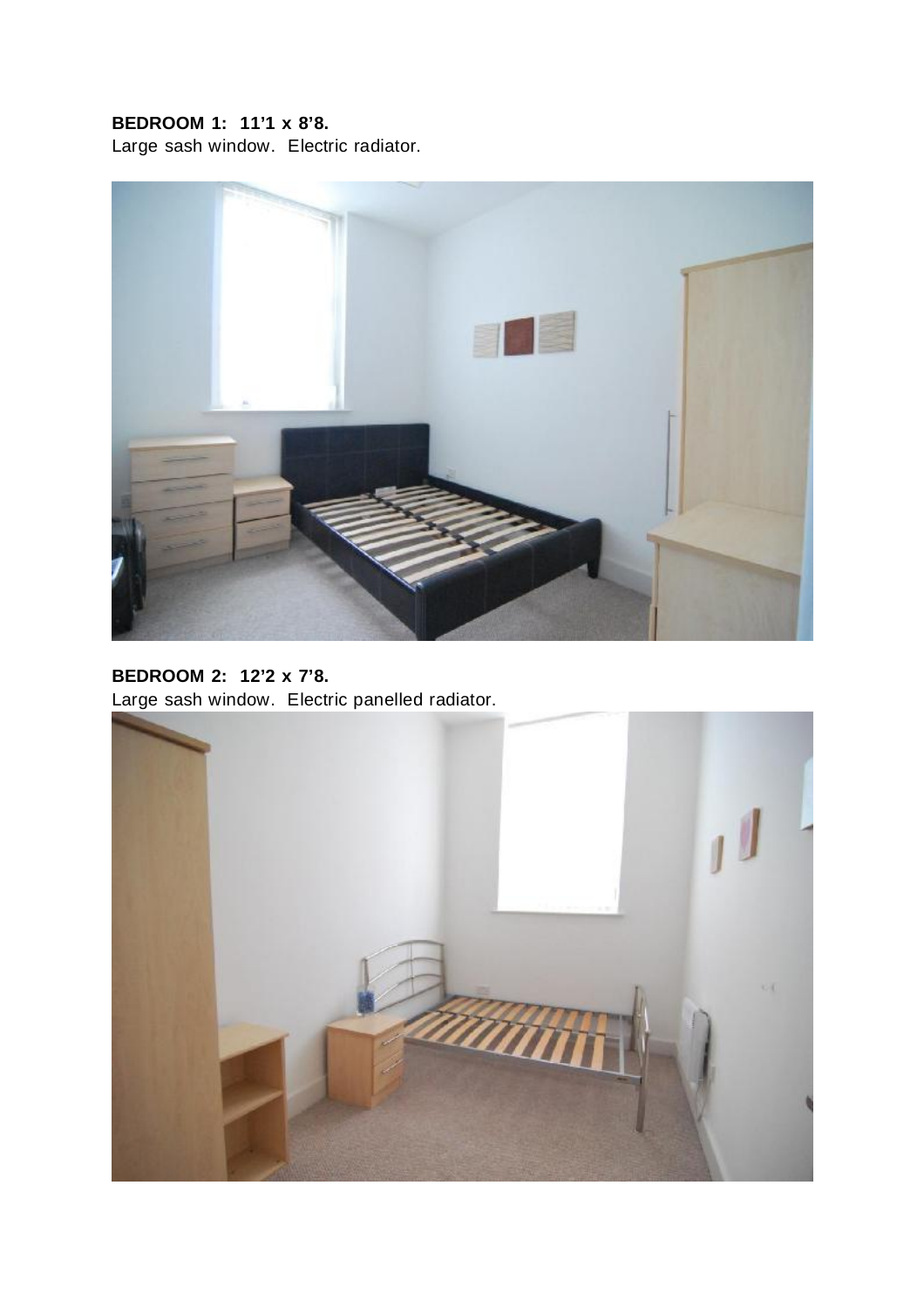# **BEDROOM 1: 11'1 x 8'8.**

Large sash window. Electric radiator.



**BEDROOM 2: 12'2 x 7'8.**  Large sash window. Electric panelled radiator.